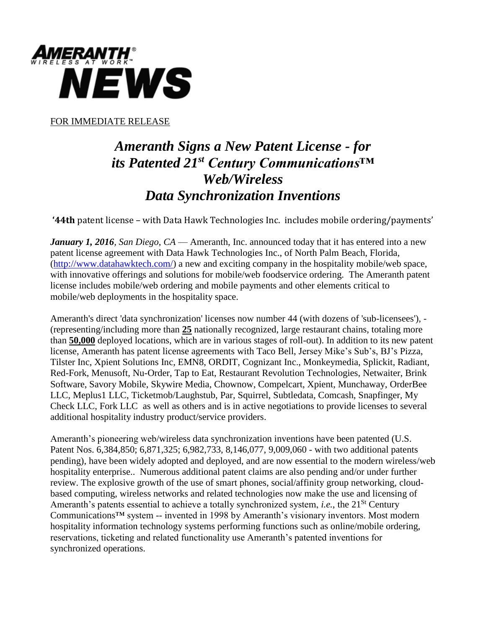

FOR IMMEDIATE RELEASE

## *Ameranth Signs a New Patent License - for its Patented 21st Century Communications™ Web/Wireless Data Synchronization Inventions*

**'44th** patent license – with Data Hawk Technologies Inc. includes mobile ordering/payments'

*January 1, 2016, San Diego*, *CA* — Ameranth, Inc. announced today that it has entered into a new patent license agreement with Data Hawk Technologies Inc., of North Palm Beach, Florida, [\(http://www.datahawktech.com/\)](http://www.datahawktech.com/) a new and exciting company in the hospitality mobile/web space, with innovative offerings and solutions for mobile/web foodservice ordering. The Ameranth patent license includes mobile/web ordering and mobile payments and other elements critical to mobile/web deployments in the hospitality space.

Ameranth's direct 'data synchronization' licenses now number 44 (with dozens of 'sub-licensees'), - (representing/including more than **25** nationally recognized, large restaurant chains, totaling more than **50,000** deployed locations, which are in various stages of roll-out). In addition to its new patent license, Ameranth has patent license agreements with Taco Bell, Jersey Mike's Sub's, BJ's Pizza, Tilster Inc, Xpient Solutions Inc, EMN8, ORDIT, Cognizant Inc., Monkeymedia, Splickit, Radiant, Red-Fork, Menusoft, Nu-Order, Tap to Eat, Restaurant Revolution Technologies, Netwaiter, Brink Software, Savory Mobile, Skywire Media, Chownow, Compelcart, Xpient, Munchaway, OrderBee LLC, Meplus1 LLC, Ticketmob/Laughstub, Par, Squirrel, Subtledata, Comcash, Snapfinger, My Check LLC, Fork LLC as well as others and is in active negotiations to provide licenses to several additional hospitality industry product/service providers.

Ameranth's pioneering web/wireless data synchronization inventions have been patented (U.S. Patent Nos. 6,384,850; 6,871,325; 6,982,733, 8,146,077, 9,009,060 - with two additional patents pending), have been widely adopted and deployed, and are now essential to the modern wireless/web hospitality enterprise.. Numerous additional patent claims are also pending and/or under further review. The explosive growth of the use of smart phones, social/affinity group networking, cloudbased computing, wireless networks and related technologies now make the use and licensing of Ameranth's patents essential to achieve a totally synchronized system, *i.e.*, the 21<sup>St</sup> Century Communications™ system -- invented in 1998 by Ameranth's visionary inventors. Most modern hospitality information technology systems performing functions such as online/mobile ordering, reservations, ticketing and related functionality use Ameranth's patented inventions for synchronized operations.